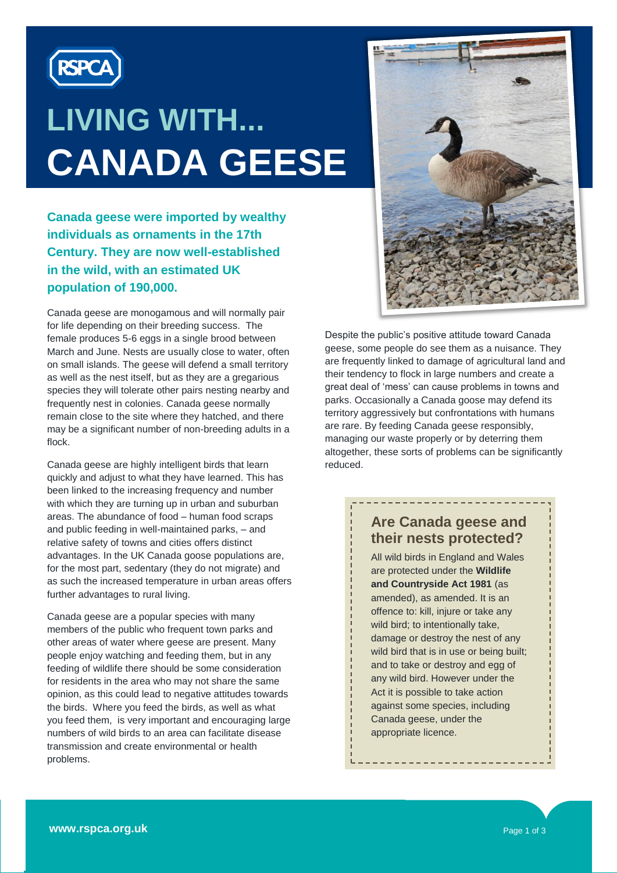

# **LIVING WITH... CANADA GEESE**

**Canada geese were imported by wealthy individuals as ornaments in the 17th Century. They are now well-established in the wild, with an estimated UK population of 190,000.**

Canada geese are monogamous and will normally pair for life depending on their breeding success. The female produces 5-6 eggs in a single brood between March and June. Nests are usually close to water, often on small islands. The geese will defend a small territory as well as the nest itself, but as they are a gregarious species they will tolerate other pairs nesting nearby and frequently nest in colonies. Canada geese normally remain close to the site where they hatched, and there may be a significant number of non-breeding adults in a flock.

Canada geese are highly intelligent birds that learn quickly and adjust to what they have learned. This has been linked to the increasing frequency and number with which they are turning up in urban and suburban areas. The abundance of food – human food scraps and public feeding in well-maintained parks, – and relative safety of towns and cities offers distinct advantages. In the UK Canada goose populations are, for the most part, sedentary (they do not migrate) and as such the increased temperature in urban areas offers further advantages to rural living.

Canada geese are a popular species with many members of the public who frequent town parks and other areas of water where geese are present. Many people enjoy watching and feeding them, but in any feeding of wildlife there should be some consideration for residents in the area who may not share the same opinion, as this could lead to negative attitudes towards the birds. Where you feed the birds, as well as what you feed them, is very important and encouraging large numbers of wild birds to an area can facilitate disease transmission and create environmental or health problems.



Despite the public's positive attitude toward Canada geese, some people do see them as a nuisance. They are frequently linked to damage of agricultural land and their tendency to flock in large numbers and create a great deal of 'mess' can cause problems in towns and parks. Occasionally a Canada goose may defend its territory aggressively but confrontations with humans are rare. By feeding Canada geese responsibly, managing our waste properly or by deterring them altogether, these sorts of problems can be significantly reduced.

### **Are Canada geese and their nests protected?**

<u> - - - - - - - - - - - - .</u>

All wild birds in England and Wales are protected under the **Wildlife and Countryside Act 1981** (as amended), as amended. It is an offence to: kill, injure or take any wild bird; to intentionally take, damage or destroy the nest of any wild bird that is in use or being built; and to take or destroy and egg of any wild bird. However under the Act it is possible to take action against some species, including Canada geese, under the appropriate licence.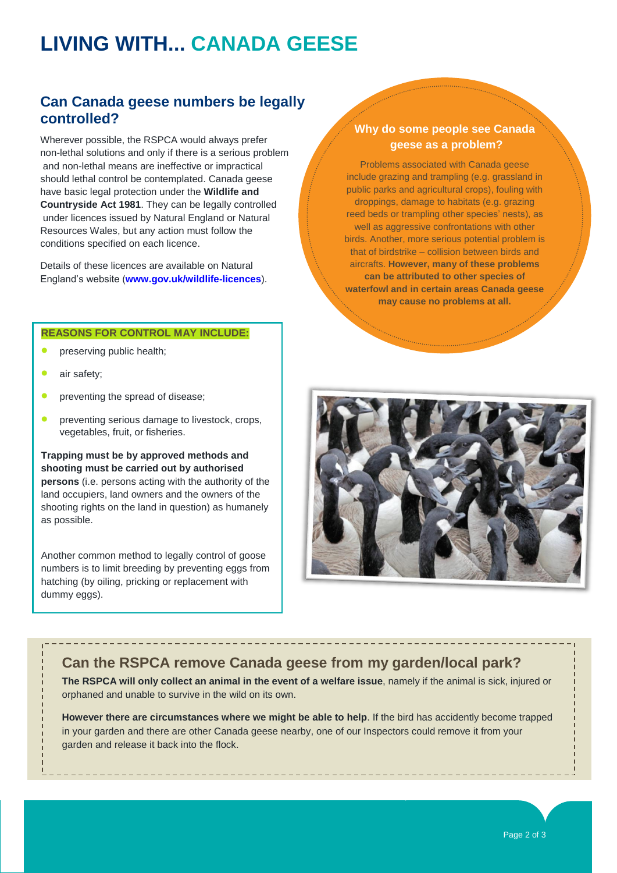# **LIVING WITH... CANADA GEESE**

### **Can Canada geese numbers be legally controlled?**

Wherever possible, the RSPCA would always prefer non-lethal solutions and only if there is a serious problem and non-lethal means are ineffective or impractical should lethal control be contemplated. Canada geese have basic legal protection under the **Wildlife and Countryside Act 1981**. They can be legally controlled under licences issued by Natural England or Natural Resources Wales, but any action must follow the conditions specified on each licence.

Details of these licences are available on Natural England's website (**[www.gov.uk/wildlife-licences](file://RSPCANET/Data/SSC/012996/Documents/Information%20Officer/New%20fact-sheet%20proposal%20(including%20format)/www.gov.uk/wildlife-licences)**).

#### **REASONS FOR CONTROL MAY INCLUDE:**

- preserving public health;
- air safety;
- preventing the spread of disease;
- preventing serious damage to livestock, crops, vegetables, fruit, or fisheries.

**Trapping must be by approved methods and shooting must be carried out by authorised persons** (i.e. persons acting with the authority of the land occupiers, land owners and the owners of the shooting rights on the land in question) as humanely as possible.

Another common method to legally control of goose numbers is to limit breeding by preventing eggs from hatching (by oiling, pricking or replacement with dummy eggs).

### **Why do some people see Canada geese as a problem?**

Problems associated with Canada geese include grazing and trampling (e.g. grassland in public parks and agricultural crops), fouling with droppings, damage to habitats (e.g. grazing reed beds or trampling other species' nests), as well as aggressive confrontations with other birds. Another, more serious potential problem is that of birdstrike – collision between birds and aircrafts. **However, many of these problems can be attributed to other species of waterfowl and in certain areas Canada geese may cause no problems at all.** 



### **Can the RSPCA remove Canada geese from my garden/local park?**

**The RSPCA will only collect an animal in the event of a welfare issue**, namely if the animal is sick, injured or orphaned and unable to survive in the wild on its own.

**However there are circumstances where we might be able to help**. If the bird has accidently become trapped in your garden and there are other Canada geese nearby, one of our Inspectors could remove it from your garden and release it back into the flock.